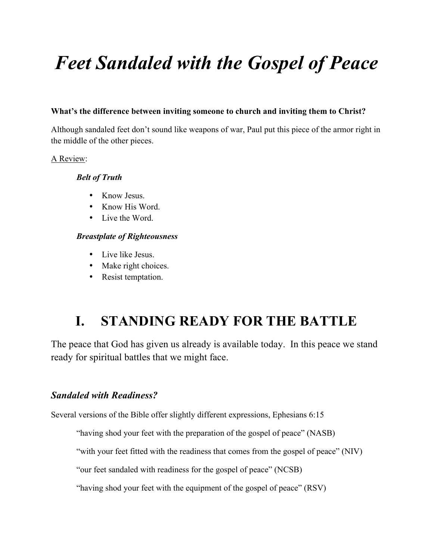# *Feet Sandaled with the Gospel of Peace*

#### **What's the difference between inviting someone to church and inviting them to Christ?**

Although sandaled feet don't sound like weapons of war, Paul put this piece of the armor right in the middle of the other pieces.

#### A Review:

#### *Belt of Truth*

- Know Jesus.
- Know His Word.
- Live the Word.

#### *Breastplate of Righteousness*

- Live like Jesus.
- Make right choices.
- Resist temptation.

## **I. STANDING READY FOR THE BATTLE**

The peace that God has given us already is available today. In this peace we stand ready for spiritual battles that we might face.

#### *Sandaled with Readiness?*

Several versions of the Bible offer slightly different expressions, Ephesians 6:15

"having shod your feet with the preparation of the gospel of peace" (NASB)

"with your feet fitted with the readiness that comes from the gospel of peace" (NIV)

"our feet sandaled with readiness for the gospel of peace" (NCSB)

"having shod your feet with the equipment of the gospel of peace" (RSV)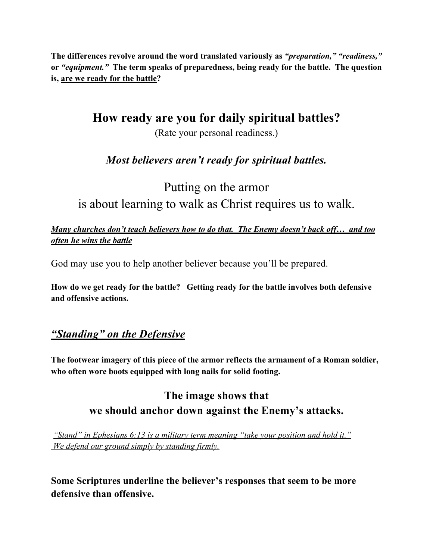**The differences revolve around the word translated variously as** *"preparation," "readiness,"* **or** *"equipment."* **The term speaks of preparedness, being ready for the battle. The question is, are we ready for the battle?**

**How ready are you for daily spiritual battles?**

(Rate your personal readiness.)

#### *Most believers aren't ready for spiritual battles.*

Putting on the armor is about learning to walk as Christ requires us to walk.

*Many churches don't teach believers how to do that. The Enemy doesn't back off… and too often he wins the battle*

God may use you to help another believer because you'll be prepared.

**How do we get ready for the battle? Getting ready for the battle involves both defensive and offensive actions.**

#### *"Standing" on the Defensive*

**The footwear imagery of this piece of the armor reflects the armament of a Roman soldier, who often wore boots equipped with long nails for solid footing.** 

#### **The image shows that we should anchor down against the Enemy's attacks.**

*"Stand" in Ephesians 6:13 is a military term meaning "take your position and hold it." We defend our ground simply by standing firmly.*

**Some Scriptures underline the believer's responses that seem to be more defensive than offensive.**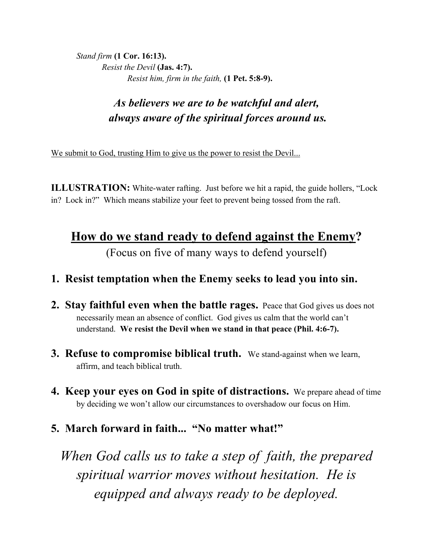*Stand firm* **(1 Cor. 16:13).** *Resist the Devil* **(Jas. 4:7).** *Resist him, firm in the faith,* **(1 Pet. 5:8-9).**

## *As believers we are to be watchful and alert, always aware of the spiritual forces around us.*

We submit to God, trusting Him to give us the power to resist the Devil...

**ILLUSTRATION:** White-water rafting. Just before we hit a rapid, the guide hollers, "Lock" in? Lock in?" Which means stabilize your feet to prevent being tossed from the raft.

# **How do we stand ready to defend against the Enemy?**

(Focus on five of many ways to defend yourself)

#### **1. Resist temptation when the Enemy seeks to lead you into sin.**

- **2. Stay faithful even when the battle rages.** Peace that God gives us does not necessarily mean an absence of conflict. God gives us calm that the world can't understand. **We resist the Devil when we stand in that peace (Phil. 4:6-7).**
- **3. Refuse to compromise biblical truth.** We stand-against when we learn, affirm, and teach biblical truth.
- **4. Keep your eyes on God in spite of distractions.** We prepare ahead of time by deciding we won't allow our circumstances to overshadow our focus on Him.
- **5. March forward in faith... "No matter what!"**

*When God calls us to take a step of faith, the prepared spiritual warrior moves without hesitation. He is equipped and always ready to be deployed.*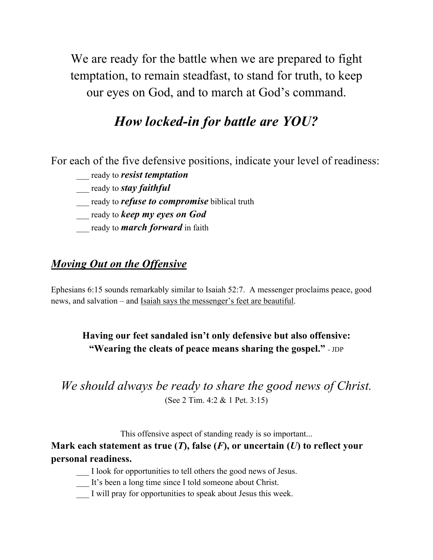We are ready for the battle when we are prepared to fight temptation, to remain steadfast, to stand for truth, to keep our eyes on God, and to march at God's command.

## *How locked-in for battle are YOU?*

For each of the five defensive positions, indicate your level of readiness:

- \_\_\_ ready to *resist temptation*
- \_\_\_ ready to *stay faithful*
- \_\_\_ ready to *refuse to compromise* biblical truth
- \_\_\_ ready to *keep my eyes on God*
- \_\_\_ ready to *march forward* in faith

#### *Moving Out on the Offensive*

Ephesians 6:15 sounds remarkably similar to Isaiah 52:7. A messenger proclaims peace, good news, and salvation – and Isaiah says the messenger's feet are beautiful.

#### **Having our feet sandaled isn't only defensive but also offensive: "Wearing the cleats of peace means sharing the gospel."** - JDP

#### *We should always be ready to share the good news of Christ.* (See 2 Tim. 4:2 & 1 Pet. 3:15)

This offensive aspect of standing ready is so important...

#### **Mark each statement as true (***T***), false (***F***), or uncertain (***U***) to reflect your personal readiness.**

- \_\_\_ I look for opportunities to tell others the good news of Jesus.
- \_\_\_ It's been a long time since I told someone about Christ.
- I will pray for opportunities to speak about Jesus this week.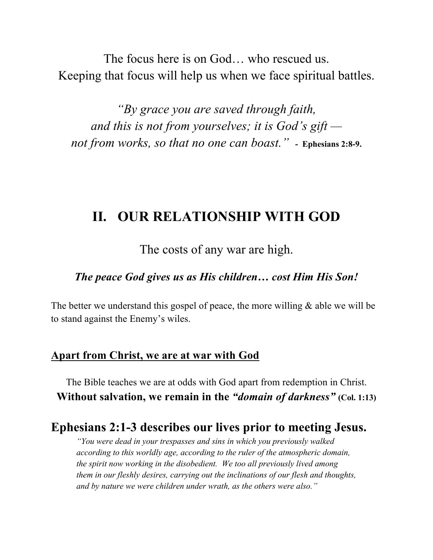The focus here is on God… who rescued us. Keeping that focus will help us when we face spiritual battles.

*"By grace you are saved through faith, and this is not from yourselves; it is God's gift not from works, so that no one can boast."* **- Ephesians 2:8-9.**

## **II. OUR RELATIONSHIP WITH GOD**

The costs of any war are high.

*The peace God gives us as His children… cost Him His Son!*

The better we understand this gospel of peace, the more willing  $\&$  able we will be to stand against the Enemy's wiles.

#### **Apart from Christ, we are at war with God**

The Bible teaches we are at odds with God apart from redemption in Christ. **Without salvation, we remain in the** *"domain of darkness"* **(Col. 1:13)**

#### **Ephesians 2:1-3 describes our lives prior to meeting Jesus.**

*"You were dead in your trespasses and sins in which you previously walked according to this worldly age, according to the ruler of the atmospheric domain, the spirit now working in the disobedient. We too all previously lived among them in our fleshly desires, carrying out the inclinations of our flesh and thoughts, and by nature we were children under wrath, as the others were also."*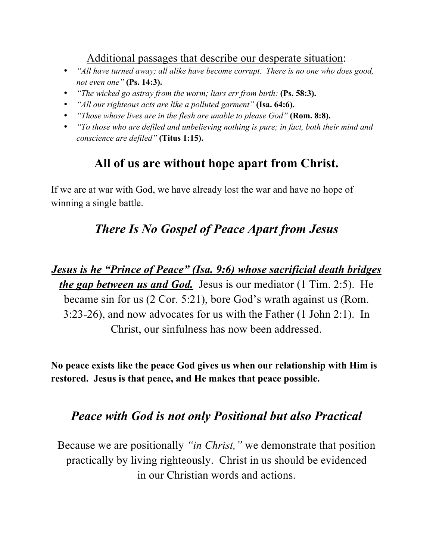Additional passages that describe our desperate situation:

- *"All have turned away; all alike have become corrupt. There is no one who does good, not even one"* **(Ps. 14:3).**
- *"The wicked go astray from the worm; liars err from birth:* **(Ps. 58:3).**
- *"All our righteous acts are like a polluted garment"* **(Isa. 64:6).**
- *"Those whose lives are in the flesh are unable to please God"* **(Rom. 8:8).**
- *"To those who are defiled and unbelieving nothing is pure; in fact, both their mind and conscience are defiled"* **(Titus 1:15).**

## **All of us are without hope apart from Christ.**

If we are at war with God, we have already lost the war and have no hope of winning a single battle.

## *There Is No Gospel of Peace Apart from Jesus*

*Jesus is he "Prince of Peace" (Isa. 9:6) whose sacrificial death bridges the gap between us and God.* Jesus is our mediator (1 Tim. 2:5). He became sin for us (2 Cor. 5:21), bore God's wrath against us (Rom. 3:23-26), and now advocates for us with the Father (1 John 2:1). In Christ, our sinfulness has now been addressed.

**No peace exists like the peace God gives us when our relationship with Him is restored. Jesus is that peace, and He makes that peace possible.** 

#### *Peace with God is not only Positional but also Practical*

Because we are positionally *"in Christ,"* we demonstrate that position practically by living righteously. Christ in us should be evidenced in our Christian words and actions.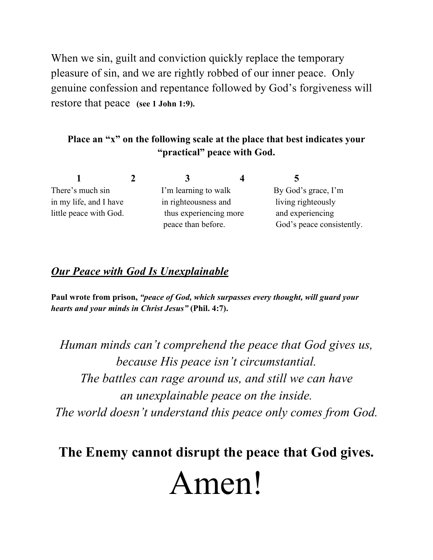When we sin, guilt and conviction quickly replace the temporary pleasure of sin, and we are rightly robbed of our inner peace. Only genuine confession and repentance followed by God's forgiveness will restore that peace **(see 1 John 1:9).**

#### **Place an "x" on the following scale at the place that best indicates your "practical" peace with God.**

|                        | 3                      | ◥                         |  |
|------------------------|------------------------|---------------------------|--|
| There's much sin       | I'm learning to walk   | By God's grace, I'm       |  |
| in my life, and I have | in righteousness and   | living righteously        |  |
| little peace with God. | thus experiencing more | and experiencing          |  |
|                        | peace than before.     | God's peace consistently. |  |

#### *Our Peace with God Is Unexplainable*

**Paul wrote from prison,** *"peace of God, which surpasses every thought, will guard your hearts and your minds in Christ Jesus"* **(Phil. 4:7).** 

*Human minds can't comprehend the peace that God gives us, because His peace isn't circumstantial. The battles can rage around us, and still we can have an unexplainable peace on the inside. The world doesn't understand this peace only comes from God.*

**The Enemy cannot disrupt the peace that God gives.** Amen!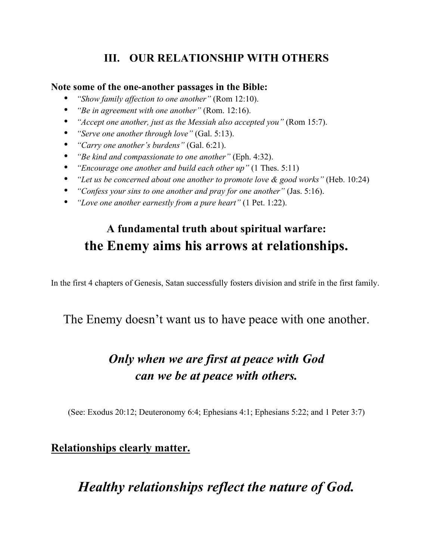#### **III. OUR RELATIONSHIP WITH OTHERS**

#### **Note some of the one-another passages in the Bible:**

- *"Show family affection to one another"* (Rom 12:10).
- *"Be in agreement with one another"* (Rom. 12:16).
- *"Accept one another, just as the Messiah also accepted you"* (Rom 15:7).
- *"Serve one another through love"* (Gal. 5:13).
- *"Carry one another's burdens"* (Gal. 6:21).
- *"Be kind and compassionate to one another"* (Eph. 4:32).
- *"Encourage one another and build each other up"* (1 Thes. 5:11)
- *"Let us be concerned about one another to promote love & good works"* (Heb. 10:24)
- *"Confess your sins to one another and pray for one another"* (Jas. 5:16).
- *"Love one another earnestly from a pure heart"* (1 Pet. 1:22).

## **A fundamental truth about spiritual warfare: the Enemy aims his arrows at relationships.**

In the first 4 chapters of Genesis, Satan successfully fosters division and strife in the first family.

#### The Enemy doesn't want us to have peace with one another.

## *Only when we are first at peace with God can we be at peace with others.*

(See: Exodus 20:12; Deuteronomy 6:4; Ephesians 4:1; Ephesians 5:22; and 1 Peter 3:7)

#### **Relationships clearly matter.**

## *Healthy relationships reflect the nature of God.*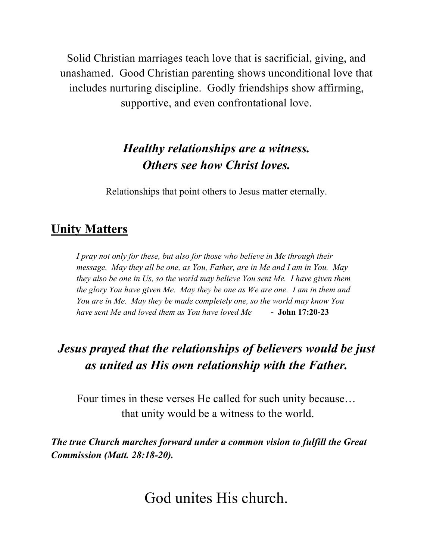Solid Christian marriages teach love that is sacrificial, giving, and unashamed. Good Christian parenting shows unconditional love that includes nurturing discipline. Godly friendships show affirming, supportive, and even confrontational love.

## *Healthy relationships are a witness. Others see how Christ loves.*

Relationships that point others to Jesus matter eternally.

#### **Unity Matters**

*I pray not only for these, but also for those who believe in Me through their message. May they all be one, as You, Father, are in Me and I am in You. May they also be one in Us, so the world may believe You sent Me. I have given them the glory You have given Me. May they be one as We are one. I am in them and You are in Me. May they be made completely one, so the world may know You have sent Me and loved them as You have loved Me* **- John 17:20-23**

## *Jesus prayed that the relationships of believers would be just as united as His own relationship with the Father.*

Four times in these verses He called for such unity because… that unity would be a witness to the world.

*The true Church marches forward under a common vision to fulfill the Great Commission (Matt. 28:18-20).*

God unites His church.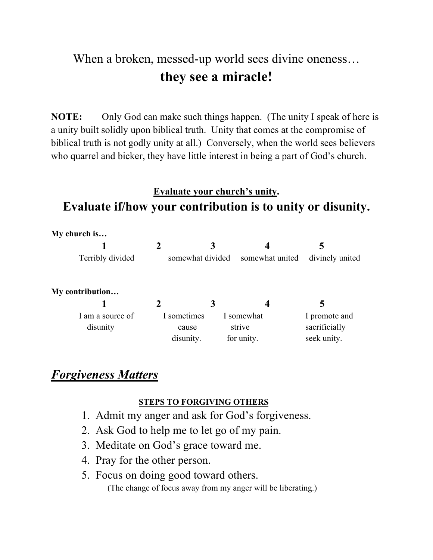## When a broken, messed-up world sees divine oneness... **they see a miracle!**

**NOTE:** Only God can make such things happen. (The unity I speak of here is a unity built solidly upon biblical truth. Unity that comes at the compromise of biblical truth is not godly unity at all.) Conversely, when the world sees believers who quarrel and bicker, they have little interest in being a part of God's church.

## **Evaluate your church's unity. Evaluate if/how your contribution is to unity or disunity.**

|  | My church is |  |
|--|--------------|--|
|--|--------------|--|

| Terribly divided | somewhat divided somewhat united divinely united |  |
|------------------|--------------------------------------------------|--|

**My contribution…**

| I am a source of | I sometimes | I somewhat | I promote and |
|------------------|-------------|------------|---------------|
| disunity         | cause       | strive     | sacrificially |
|                  | disunity.   | for unity. | seek unity.   |

#### *Forgiveness Matters*

#### **STEPS TO FORGIVING OTHERS**

- 1. Admit my anger and ask for God's forgiveness.
- 2. Ask God to help me to let go of my pain.
- 3. Meditate on God's grace toward me.
- 4. Pray for the other person.
- 5. Focus on doing good toward others. (The change of focus away from my anger will be liberating.)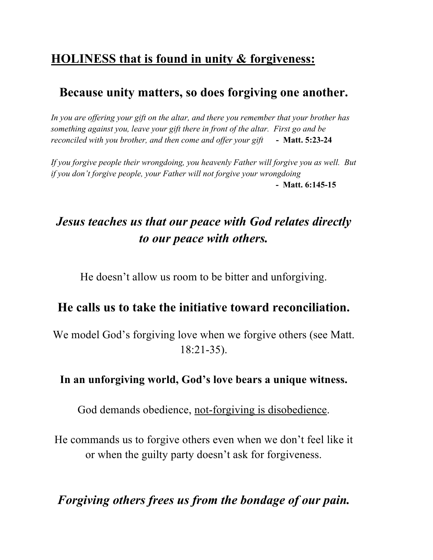## **HOLINESS that is found in unity & forgiveness:**

#### **Because unity matters, so does forgiving one another.**

*In you are offering your gift on the altar, and there you remember that your brother has something against you, leave your gift there in front of the altar. First go and be reconciled with you brother, and then come and offer your gift* **- Matt. 5:23-24**

*If you forgive people their wrongdoing, you heavenly Father will forgive you as well. But if you don't forgive people, your Father will not forgive your wrongdoing* **- Matt. 6:145-15**

## *Jesus teaches us that our peace with God relates directly to our peace with others.*

He doesn't allow us room to be bitter and unforgiving.

#### **He calls us to take the initiative toward reconciliation.**

We model God's forgiving love when we forgive others (see Matt. 18:21-35).

#### **In an unforgiving world, God's love bears a unique witness.**

God demands obedience, not-forgiving is disobedience.

He commands us to forgive others even when we don't feel like it or when the guilty party doesn't ask for forgiveness.

*Forgiving others frees us from the bondage of our pain.*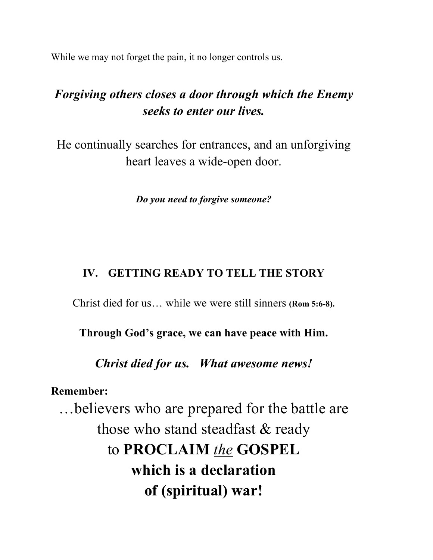While we may not forget the pain, it no longer controls us.

## *Forgiving others closes a door through which the Enemy seeks to enter our lives.*

He continually searches for entrances, and an unforgiving heart leaves a wide-open door.

*Do you need to forgive someone?*

#### **IV. GETTING READY TO TELL THE STORY**

Christ died for us… while we were still sinners **(Rom 5:6-8).**

**Through God's grace, we can have peace with Him.**

*Christ died for us. What awesome news!*

**Remember:**

…believers who are prepared for the battle are those who stand steadfast & ready to **PROCLAIM** *the* **GOSPEL which is a declaration of (spiritual) war!**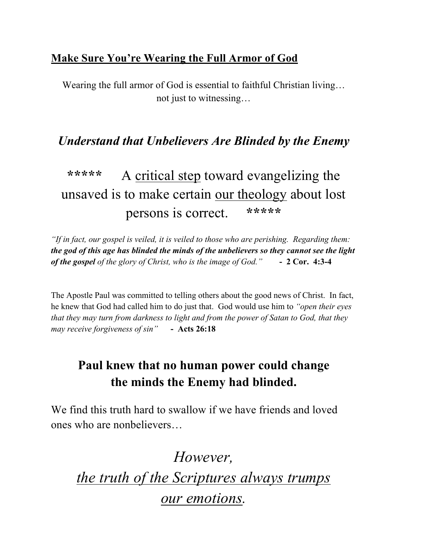#### **Make Sure You're Wearing the Full Armor of God**

Wearing the full armor of God is essential to faithful Christian living… not just to witnessing…

## *Understand that Unbelievers Are Blinded by the Enemy*

## **\*\*\*\*\*** A critical step toward evangelizing the unsaved is to make certain our theology about lost persons is correct. **\*\*\*\*\***

*"If in fact, our gospel is veiled, it is veiled to those who are perishing. Regarding them: the god of this age has blinded the minds of the unbelievers so they cannot see the light of the gospel of the glory of Christ, who is the image of God."* **- 2 Cor. 4:3-4**

The Apostle Paul was committed to telling others about the good news of Christ. In fact, he knew that God had called him to do just that. God would use him to *"open their eyes that they may turn from darkness to light and from the power of Satan to God, that they may receive forgiveness of sin"* **- Acts 26:18** 

## **Paul knew that no human power could change the minds the Enemy had blinded.**

We find this truth hard to swallow if we have friends and loved ones who are nonbelievers…

*However, the truth of the Scriptures always trumps our emotions.*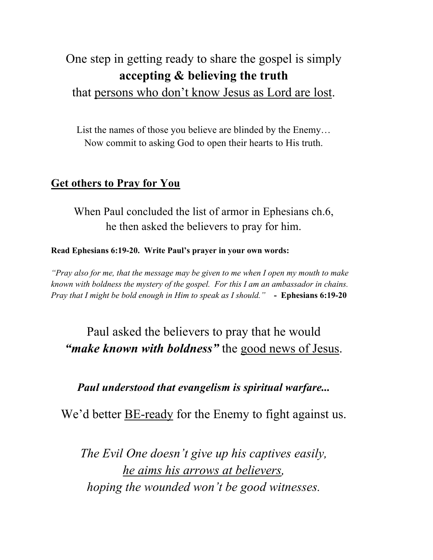## One step in getting ready to share the gospel is simply **accepting & believing the truth**

#### that persons who don't know Jesus as Lord are lost.

List the names of those you believe are blinded by the Enemy… Now commit to asking God to open their hearts to His truth.

#### **Get others to Pray for You**

When Paul concluded the list of armor in Ephesians ch.6, he then asked the believers to pray for him.

#### **Read Ephesians 6:19-20. Write Paul's prayer in your own words:**

*"Pray also for me, that the message may be given to me when I open my mouth to make known with boldness the mystery of the gospel. For this I am an ambassador in chains. Pray that I might be bold enough in Him to speak as I should."* **- Ephesians 6:19-20**

## Paul asked the believers to pray that he would *"make known with boldness"* the good news of Jesus.

#### *Paul understood that evangelism is spiritual warfare...*

We'd better **BE-ready** for the Enemy to fight against us.

*The Evil One doesn't give up his captives easily, he aims his arrows at believers, hoping the wounded won't be good witnesses.*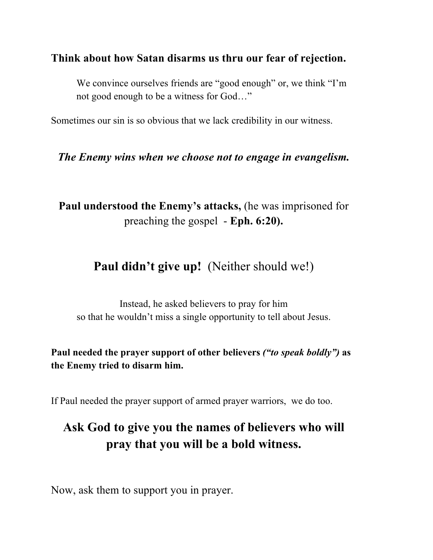#### **Think about how Satan disarms us thru our fear of rejection.**

We convince ourselves friends are "good enough" or, we think "I'm not good enough to be a witness for God…"

Sometimes our sin is so obvious that we lack credibility in our witness.

#### *The Enemy wins when we choose not to engage in evangelism.*

**Paul understood the Enemy's attacks,** (he was imprisoned for preaching the gospel - **Eph. 6:20).** 

## Paul didn't give up! (Neither should we!)

Instead, he asked believers to pray for him so that he wouldn't miss a single opportunity to tell about Jesus.

#### **Paul needed the prayer support of other believers** *("to speak boldly")* **as the Enemy tried to disarm him.**

If Paul needed the prayer support of armed prayer warriors, we do too.

## **Ask God to give you the names of believers who will pray that you will be a bold witness.**

Now, ask them to support you in prayer.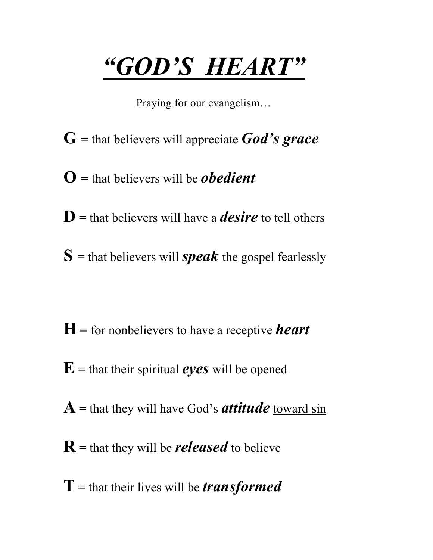# *"GOD'S HEART"*

Praying for our evangelism…

- **G =** that believers will appreciate *God's grace*
- **O =** that believers will be *obedient*
- **D =** that believers will have a *desire* to tell others
- $S =$  that believers will *speak* the gospel fearlessly

- **H =** for nonbelievers to have a receptive *heart*
- $\mathbf{E}$  = that their spiritual *eyes* will be opened
- **A =** that they will have God's *attitude* toward sin
- **R =** that they will be *released* to believe
- **T =** that their lives will be *transformed*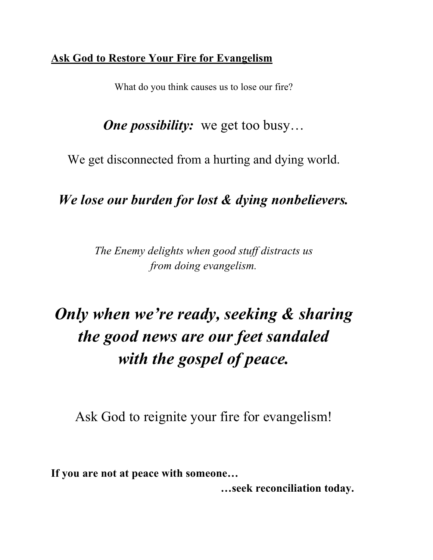#### **Ask God to Restore Your Fire for Evangelism**

What do you think causes us to lose our fire?

*One possibility:* we get too busy...

We get disconnected from a hurting and dying world.

## *We lose our burden for lost & dying nonbelievers.*

*The Enemy delights when good stuff distracts us from doing evangelism.*

# *Only when we're ready, seeking & sharing the good news are our feet sandaled with the gospel of peace.*

Ask God to reignite your fire for evangelism!

**If you are not at peace with someone…** 

 **…seek reconciliation today.**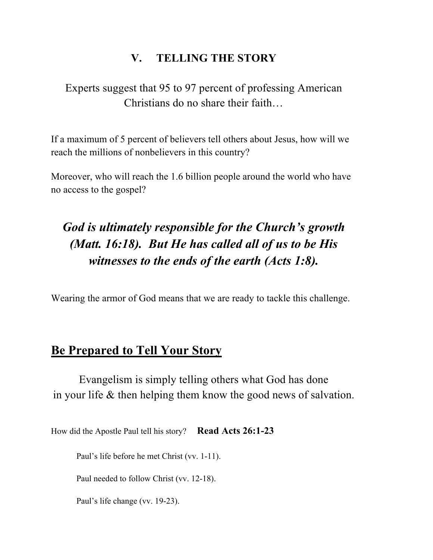#### **V. TELLING THE STORY**

Experts suggest that 95 to 97 percent of professing American Christians do no share their faith…

If a maximum of 5 percent of believers tell others about Jesus, how will we reach the millions of nonbelievers in this country?

Moreover, who will reach the 1.6 billion people around the world who have no access to the gospel?

## *God is ultimately responsible for the Church's growth (Matt. 16:18). But He has called all of us to be His witnesses to the ends of the earth (Acts 1:8).*

Wearing the armor of God means that we are ready to tackle this challenge.

#### **Be Prepared to Tell Your Story**

Evangelism is simply telling others what God has done in your life & then helping them know the good news of salvation.

How did the Apostle Paul tell his story? **Read Acts 26:1-23**

Paul's life before he met Christ (vv. 1-11).

Paul needed to follow Christ (vv. 12-18).

Paul's life change (vv. 19-23).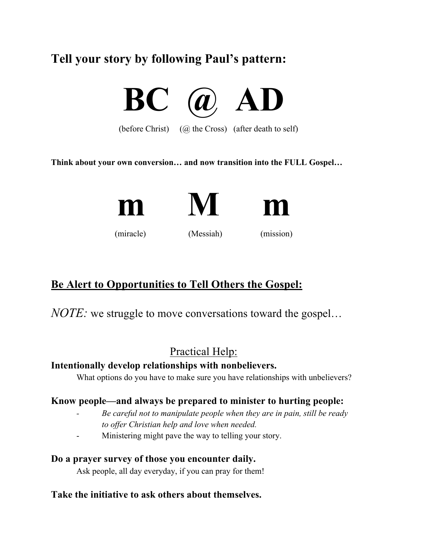## **Tell your story by following Paul's pattern:**



(before Christ)  $(Q)$  the Cross) (after death to self)

**Think about your own conversion… and now transition into the FULL Gospel…** 



#### **Be Alert to Opportunities to Tell Others the Gospel:**

*NOTE:* we struggle to move conversations toward the gospel…

#### Practical Help:

#### **Intentionally develop relationships with nonbelievers.**

What options do you have to make sure you have relationships with unbelievers?

#### **Know people—and always be prepared to minister to hurting people:**

- *- Be careful not to manipulate people when they are in pain, still be ready to offer Christian help and love when needed.*
- Ministering might pave the way to telling your story.

#### **Do a prayer survey of those you encounter daily.**

Ask people, all day everyday, if you can pray for them!

#### **Take the initiative to ask others about themselves.**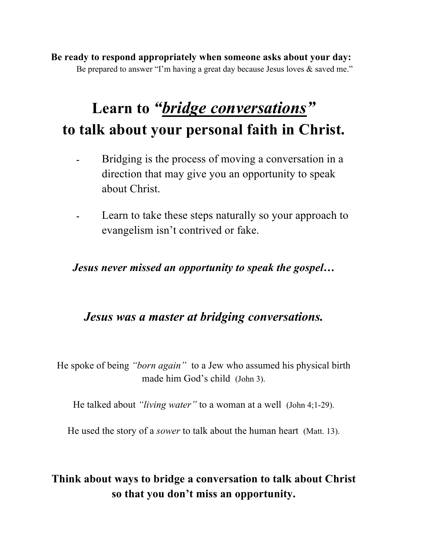**Be ready to respond appropriately when someone asks about your day:**  Be prepared to answer "I'm having a great day because Jesus loves & saved me."

## **Learn to** *"bridge conversations"* **to talk about your personal faith in Christ.**

- **-** Bridging is the process of moving a conversation in a direction that may give you an opportunity to speak about Christ.
- **-** Learn to take these steps naturally so your approach to evangelism isn't contrived or fake.

*Jesus never missed an opportunity to speak the gospel…*

#### *Jesus was a master at bridging conversations.*

He spoke of being *"born again"* to a Jew who assumed his physical birth made him God's child (John 3).

He talked about *"living water"* to a woman at a well (John 4;1-29).

He used the story of a *sower* to talk about the human heart (Matt. 13).

#### **Think about ways to bridge a conversation to talk about Christ so that you don't miss an opportunity.**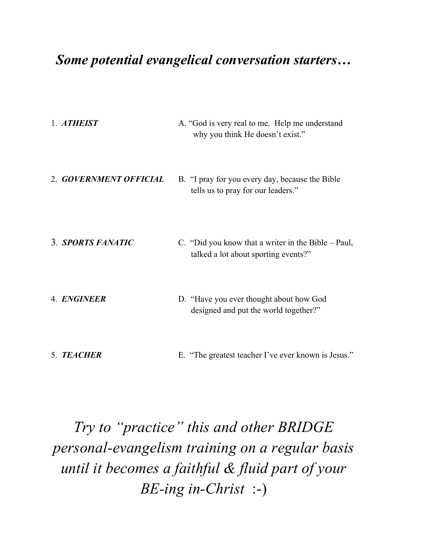## *Some potential evangelical conversation starters…*

| 1. ATHEIST             | A. "God is very real to me. Help me understand<br>why you think He doesn't exist."          |
|------------------------|---------------------------------------------------------------------------------------------|
| 2. GOVERNMENT OFFICIAL | B. "I pray for you every day, because the Bible<br>tells us to pray for our leaders."       |
| 3. SPORTS FANATIC      | C. "Did you know that a writer in the Bible – Paul,<br>talked a lot about sporting events?" |
| 4. ENGINEER            | D. "Have you ever thought about how God<br>designed and put the world together?"            |
| 5. TEACHER             | E. "The greatest teacher I've ever known is Jesus."                                         |

*Try to "practice" this and other BRIDGE personal-evangelism training on a regular basis until it becomes a faithful & fluid part of your BE-ing in-Christ* :-)